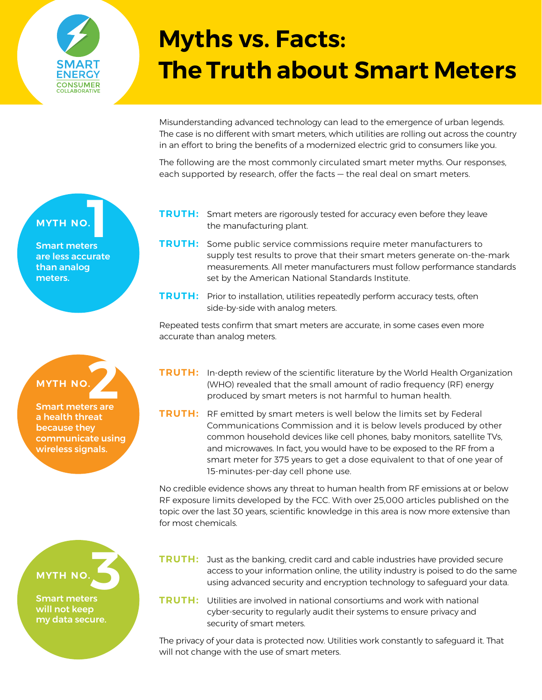

# **Myths vs. Facts: The Truth about Smart Meters**

Misunderstanding advanced technology can lead to the emergence of urban legends. The case is no different with smart meters, which utilities are rolling out across the country in an effort to bring the benefits of a modernized electric grid to consumers like you.

The following are the most commonly circulated smart meter myths. Our responses, each supported by research, offer the facts — the real deal on smart meters.

- **TRUTH:** Smart meters are rigorously tested for accuracy even before they leave the manufacturing plant.
- **TRUTH:** Some public service commissions require meter manufacturers to supply test results to prove that their smart meters generate on-the-mark measurements. All meter manufacturers must follow performance standards set by the American National Standards Institute.
- TRUTH: Prior to installation, utilities repeatedly perform accuracy tests, often side-by-side with analog meters.

Repeated tests confirm that smart meters are accurate, in some cases even more accurate than analog meters.

- **TRUTH:** In-depth review of the scientific literature by the World Health Organization (WHO) revealed that the small amount of radio frequency (RF) energy produced by smart meters is not harmful to human health.
- TRUTH: RF emitted by smart meters is well below the limits set by Federal Communications Commission and it is below levels produced by other common household devices like cell phones, baby monitors, satellite TVs, and microwaves. In fact, you would have to be exposed to the RF from a smart meter for 375 years to get a dose equivalent to that of one year of 15-minutes-per-day cell phone use.

No credible evidence shows any threat to human health from RF emissions at or below RF exposure limits developed by the FCC. With over 25,000 articles published on the topic over the last 30 years, scientific knowledge in this area is now more extensive than for most chemicals.

- TRUTH: Just as the banking, credit card and cable industries have provided secure access to your information online, the utility industry is poised to do the same using advanced security and encryption technology to safeguard your data.
- **TRUTH:** Utilities are involved in national consortiums and work with national cyber-security to regularly audit their systems to ensure privacy and security of smart meters.

The privacy of your data is protected now. Utilities work constantly to safeguard it. That will not change with the use of smart meters.

## myth no.**1**

Smart meters are less accurate than analog meters.

# myth no.

MYTH NO.<br>Smart meters are a health threat because they communicate using wireless signals.



Smart meters will not keep my data secure.